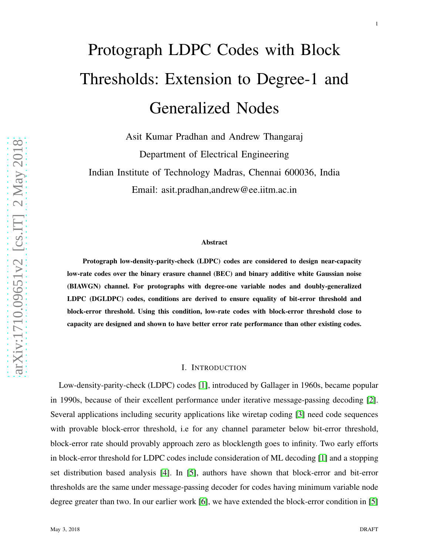1

# Protograph LDPC Codes with Block Thresholds: Extension to Degree-1 and Generalized Nodes

Asit Kumar Pradhan and Andrew Thangaraj Department of Electrical Engineering Indian Institute of Technology Madras, Chennai 600036, India Email: asit.pradhan,andrew@ee.iitm.ac.in

### Abstract

Protograph low-density-parity-check (LDPC) codes are considered to design near-capacity low-rate codes over the binary erasure channel (BEC) and binary additive white Gaussian noise (BIAWGN) channel. For protographs with degree-one variable nodes and doubly-generalized LDPC (DGLDPC) codes, conditions are derived to ensure equality of bit-error threshold and block-error threshold. Using this condition, low-rate codes with block-error threshold close to capacity are designed and shown to have better error rate performance than other existing codes.

#### I. INTRODUCTION

Low-density-parity-check (LDPC) codes [\[1\]](#page-22-0), introduced by Gallager in 1960s, became popular in 1990s, because of their excellent performance under iterative message-passing decoding [\[2\]](#page-22-1). Several applications including security applications like wiretap coding [\[3\]](#page-24-0) need code sequences with provable block-error threshold, i.e for any channel parameter below bit-error threshold, block-error rate should provably approach zero as blocklength goes to infinity. Two early efforts in block-error threshold for LDPC codes include consideration of ML decoding [\[1\]](#page-22-0) and a stopping set distribution based analysis [\[4\]](#page-24-1). In [\[5\]](#page-24-2), authors have shown that block-error and bit-error thresholds are the same under message-passing decoder for codes having minimum variable node degree greater than two. In our earlier work [\[6\]](#page-24-3), we have extended the block-error condition in [\[5\]](#page-24-2)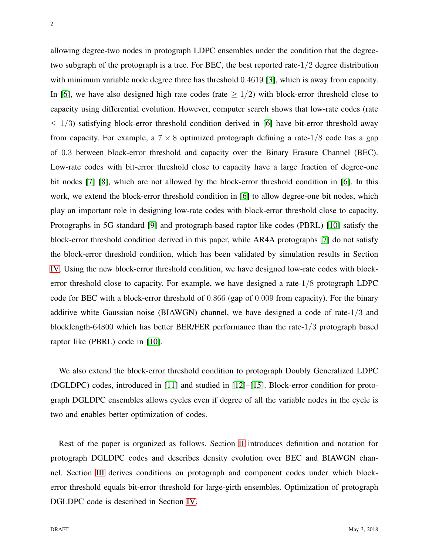2

allowing degree-two nodes in protograph LDPC ensembles under the condition that the degreetwo subgraph of the protograph is a tree. For BEC, the best reported rate-1/2 degree distribution with minimum variable node degree three has threshold 0.4619 [\[3\]](#page-24-0), which is away from capacity. In [\[6\]](#page-24-3), we have also designed high rate codes (rate  $\geq 1/2$ ) with block-error threshold close to capacity using differential evolution. However, computer search shows that low-rate codes (rate  $\leq$  1/3) satisfying block-error threshold condition derived in [\[6\]](#page-24-3) have bit-error threshold away from capacity. For example, a  $7 \times 8$  optimized protograph defining a rate-1/8 code has a gap of 0.3 between block-error threshold and capacity over the Binary Erasure Channel (BEC). Low-rate codes with bit-error threshold close to capacity have a large fraction of degree-one bit nodes [\[7\]](#page-24-4) [\[8\]](#page-24-5), which are not allowed by the block-error threshold condition in [\[6\]](#page-24-3). In this work, we extend the block-error threshold condition in [\[6\]](#page-24-3) to allow degree-one bit nodes, which play an important role in designing low-rate codes with block-error threshold close to capacity. Protographs in 5G standard [\[9\]](#page-24-6) and protograph-based raptor like codes (PBRL) [\[10\]](#page-24-7) satisfy the block-error threshold condition derived in this paper, while AR4A protographs [\[7\]](#page-24-4) do not satisfy the block-error threshold condition, which has been validated by simulation results in Section [IV.](#page-19-0) Using the new block-error threshold condition, we have designed low-rate codes with blockerror threshold close to capacity. For example, we have designed a rate-1/8 protograph LDPC code for BEC with a block-error threshold of 0.866 (gap of 0.009 from capacity). For the binary additive white Gaussian noise (BIAWGN) channel, we have designed a code of rate-1/3 and blocklength-64800 which has better BER/FER performance than the rate-1/3 protograph based raptor like (PBRL) code in [\[10\]](#page-24-7).

We also extend the block-error threshold condition to protograph Doubly Generalized LDPC (DGLDPC) codes, introduced in [\[11\]](#page-24-8) and studied in [\[12\]](#page-24-9)–[\[15\]](#page-25-0). Block-error condition for protograph DGLDPC ensembles allows cycles even if degree of all the variable nodes in the cycle is two and enables better optimization of codes.

Rest of the paper is organized as follows. Section [II](#page-2-0) introduces definition and notation for protograph DGLDPC codes and describes density evolution over BEC and BIAWGN channel. Section [III](#page-5-0) derives conditions on protograph and component codes under which blockerror threshold equals bit-error threshold for large-girth ensembles. Optimization of protograph DGLDPC code is described in Section [IV.](#page-19-0)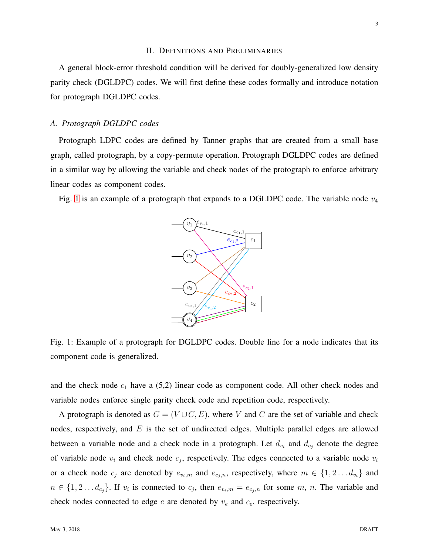#### II. DEFINITIONS AND PRELIMINARIES

<span id="page-2-0"></span>A general block-error threshold condition will be derived for doubly-generalized low density parity check (DGLDPC) codes. We will first define these codes formally and introduce notation for protograph DGLDPC codes.

# *A. Protograph DGLDPC codes*

Protograph LDPC codes are defined by Tanner graphs that are created from a small base graph, called protograph, by a copy-permute operation. Protograph DGLDPC codes are defined in a similar way by allowing the variable and check nodes of the protograph to enforce arbitrary linear codes as component codes.

<span id="page-2-1"></span>Fig. [1](#page-2-1) is an example of a protograph that expands to a DGLDPC code. The variable node  $v_4$ 



Fig. 1: Example of a protograph for DGLDPC codes. Double line for a node indicates that its component code is generalized.

and the check node  $c_1$  have a (5,2) linear code as component code. All other check nodes and variable nodes enforce single parity check code and repetition code, respectively.

A protograph is denoted as  $G = (V \cup C, E)$ , where V and C are the set of variable and check nodes, respectively, and  $E$  is the set of undirected edges. Multiple parallel edges are allowed between a variable node and a check node in a protograph. Let  $d_{v_i}$  and  $d_{c_j}$  denote the degree of variable node  $v_i$  and check node  $c_j$ , respectively. The edges connected to a variable node  $v_i$ or a check node  $c_j$  are denoted by  $e_{v_i,m}$  and  $e_{c_j,n}$ , respectively, where  $m \in \{1,2...d_{v_i}\}\$  and  $n \in \{1, 2 \ldots d_{c_j}\}.$  If  $v_i$  is connected to  $c_j$ , then  $e_{v_i,m} = e_{c_j,n}$  for some  $m, n$ . The variable and check nodes connected to edge  $e$  are denoted by  $v_e$  and  $c_e$ , respectively.

3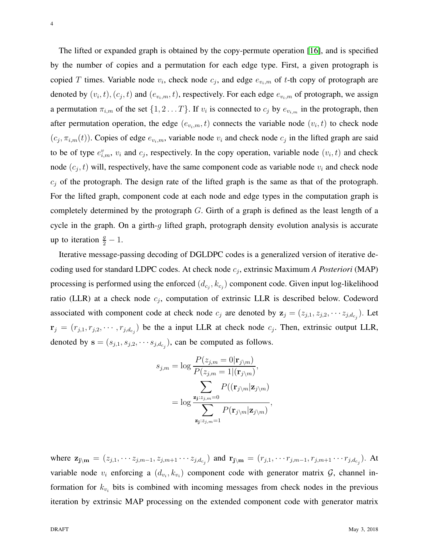The lifted or expanded graph is obtained by the copy-permute operation [\[16\]](#page-25-1), and is specified by the number of copies and a permutation for each edge type. First, a given protograph is copied T times. Variable node  $v_i$ , check node  $c_j$ , and edge  $e_{v_i,m}$  of t-th copy of protograph are denoted by  $(v_i, t), (c_j, t)$  and  $(e_{v_i,m}, t)$ , respectively. For each edge  $e_{v_i,m}$  of protograph, we assign a permutation  $\pi_{i,m}$  of the set  $\{1,2 \ldots T\}$ . If  $v_i$  is connected to  $c_j$  by  $e_{v_{i,m}}$  in the protograph, then after permutation operation, the edge  $(e_{v_i,m}, t)$  connects the variable node  $(v_i, t)$  to check node  $(c_j, \pi_{i,m}(t))$ . Copies of edge  $e_{v_i,m}$ , variable node  $v_i$  and check node  $c_j$  in the lifted graph are said to be of type  $e_{i,m}^v$ ,  $v_i$  and  $c_j$ , respectively. In the copy operation, variable node  $(v_i, t)$  and check node  $(c_j, t)$  will, respectively, have the same component code as variable node  $v_i$  and check node  $c_j$  of the protograph. The design rate of the lifted graph is the same as that of the protograph. For the lifted graph, component code at each node and edge types in the computation graph is completely determined by the protograph  $G$ . Girth of a graph is defined as the least length of a cycle in the graph. On a girth-g lifted graph, protograph density evolution analysis is accurate up to iteration  $\frac{g}{2} - 1$ .

Iterative message-passing decoding of DGLDPC codes is a generalized version of iterative decoding used for standard LDPC codes. At check node c<sup>j</sup> , extrinsic Maximum *A Posteriori* (MAP) processing is performed using the enforced  $(d_{c_j}, k_{c_j})$  component code. Given input log-likelihood ratio (LLR) at a check node  $c_j$ , computation of extrinsic LLR is described below. Codeword associated with component code at check node  $c_j$  are denoted by  $z_j = (z_{j,1}, z_{j,2}, \dots z_{j,d_{c_j}})$ . Let  $\mathbf{r}_j = (r_{j,1}, r_{j,2}, \cdots, r_{j,d_{c_j}})$  be the a input LLR at check node  $c_j$ . Then, extrinsic output LLR, denoted by  $\mathbf{s} = (s_{j,1}, s_{j,2}, \cdots s_{j,d_{c_j}})$ , can be computed as follows.

$$
s_{j,m} = \log \frac{P(z_{j,m} = 0 | \mathbf{r}_{j \setminus m})}{P(z_{j,m} = 1 | (\mathbf{r}_{j \setminus m})},
$$

$$
= \log \frac{\sum_{\mathbf{z}_{j}:z_{j,m} = 0} P((\mathbf{r}_{j \setminus m} | \mathbf{z}_{j \setminus m})}{\sum_{\mathbf{z}_{j}:z_{j,m} = 1} P(\mathbf{r}_{j \setminus m} | \mathbf{z}_{j \setminus m})},
$$

where  $z_{j\backslash m} = (z_{j,1}, \dots z_{j,m-1}, z_{j,m+1} \dots z_{j,d_{c_j}})$  and  $r_{j\backslash m} = (r_{j,1}, \dots r_{j,m-1}, r_{j,m+1} \dots r_{j,d_{c_j}})$ . At variable node  $v_i$  enforcing a  $(d_{v_i}, k_{v_i})$  component code with generator matrix  $\mathcal{G}$ , channel information for  $k_{v_i}$  bits is combined with incoming messages from check nodes in the previous iteration by extrinsic MAP processing on the extended component code with generator matrix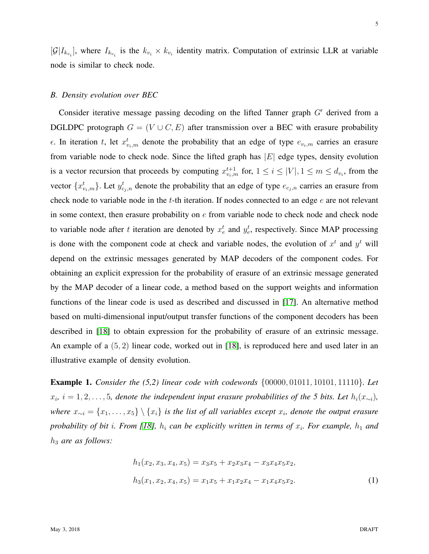$[\mathcal{G}|I_{k_{v_i}}]$ , where  $I_{k_{v_i}}$  is the  $k_{v_i} \times k_{v_i}$  identity matrix. Computation of extrinsic LLR at variable node is similar to check node.

### <span id="page-4-1"></span>*B. Density evolution over BEC*

Consider iterative message passing decoding on the lifted Tanner graph G′ derived from a DGLDPC protograph  $G = (V \cup C, E)$  after transmission over a BEC with erasure probability  $\epsilon$ . In iteration t, let  $x_{v_i,m}^t$  denote the probability that an edge of type  $e_{v_i,m}$  carries an erasure from variable node to check node. Since the lifted graph has  $|E|$  edge types, density evolution is a vector recursion that proceeds by computing  $x_{v_i,m}^{t+1}$  for,  $1 \le i \le |V|, 1 \le m \le d_{v_i}$ , from the vector  $\{x_{v_i,m}^t\}$ . Let  $y_{c_j,n}^t$  denote the probability that an edge of type  $e_{c_j,n}$  carries an erasure from check node to variable node in the  $t$ -th iteration. If nodes connected to an edge  $e$  are not relevant in some context, then erasure probability on  $e$  from variable node to check node and check node to variable node after t iteration are denoted by  $x_e^t$  and  $y_e^t$ , respectively. Since MAP processing is done with the component code at check and variable nodes, the evolution of  $x<sup>t</sup>$  and  $y<sup>t</sup>$  will depend on the extrinsic messages generated by MAP decoders of the component codes. For obtaining an explicit expression for the probability of erasure of an extrinsic message generated by the MAP decoder of a linear code, a method based on the support weights and information functions of the linear code is used as described and discussed in [\[17\]](#page-25-2). An alternative method based on multi-dimensional input/output transfer functions of the component decoders has been described in [\[18\]](#page-25-3) to obtain expression for the probability of erasure of an extrinsic message. An example of a (5, 2) linear code, worked out in [\[18\]](#page-25-3), is reproduced here and used later in an illustrative example of density evolution.

Example 1. *Consider the (5,2) linear code with codewords* {00000, 01011, 10101, 11110}*. Let*  $x_i$ ,  $i = 1, 2, \ldots, 5$ , denote the independent input erasure probabilities of the 5 bits. Let  $h_i(x_{\sim i})$ , *where*  $x_{\sim i} = \{x_1, \ldots, x_5\} \setminus \{x_i\}$  is the list of all variables except  $x_i$ , denote the output erasure *probability of bit i. From [\[18\]](#page-25-3),*  $h_i$  *can be explicitly written in terms of*  $x_i$ *. For example,*  $h_1$  *and* h<sup>3</sup> *are as follows:*

<span id="page-4-0"></span>
$$
h_1(x_2, x_3, x_4, x_5) = x_3x_5 + x_2x_3x_4 - x_3x_4x_5x_2,
$$
  
\n
$$
h_3(x_1, x_2, x_4, x_5) = x_1x_5 + x_1x_2x_4 - x_1x_4x_5x_2.
$$
\n(1)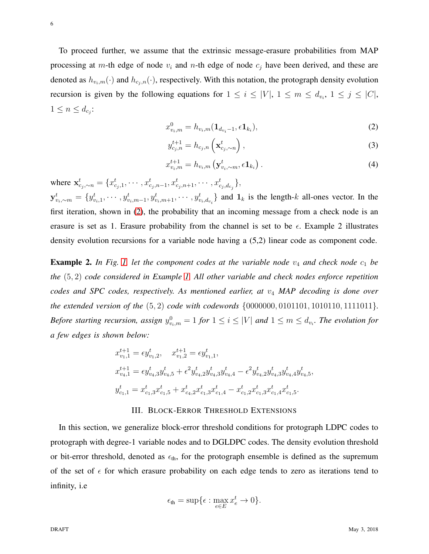To proceed further, we assume that the extrinsic message-erasure probabilities from MAP processing at m-th edge of node  $v_i$  and n-th edge of node  $c_j$  have been derived, and these are denoted as  $h_{v_i,m}(\cdot)$  and  $h_{c_i,n}(\cdot)$ , respectively. With this notation, the protograph density evolution recursion is given by the following equations for  $1 \le i \le |V|$ ,  $1 \le m \le d_{v_i}$ ,  $1 \le j \le |C|$ ,  $1 \leq n \leq d_{c_j}$ :

<span id="page-5-1"></span>
$$
x_{v_i,m}^0 = h_{v_i,m}(\mathbf{1}_{d_{v_i}-1}, \epsilon \mathbf{1}_{k_i}),
$$
\n(2)

<span id="page-5-3"></span><span id="page-5-2"></span>
$$
y_{c_j,n}^{t+1} = h_{c_j,n} \left( \mathbf{x}_{c_j,\sim n}^t \right), \tag{3}
$$

$$
x_{v_i,m}^{t+1} = h_{v_i,m} \left( \mathbf{y}_{v_i,\sim m}^t, \epsilon \mathbf{1}_{k_i} \right).
$$
 (4)

,

where  $\mathbf{x}_{c_j, \sim n}^t = \{x_{c_j, 1}^t, \cdots, x_{c_j, n-1}^t, x_{c_j, n+1}^t, \cdots, x_{c_j, d_{c_j}}^t\},\$  $\mathbf{y}_{v_i, \sim m}^t = \{y_{v_i,1}^t, \cdots, y_{v_i,m-1}^t, y_{v_i,m+1}^t, \cdots, y_{v_i,d_{v_i}}^t\}$  and  $\mathbf{1}_k$  is the length-k all-ones vector. In the first iteration, shown in [\(2\)](#page-5-1), the probability that an incoming message from a check node is an erasure is set as 1. Erasure probability from the channel is set to be  $\epsilon$ . Example 2 illustrates density evolution recursions for a variable node having a (5,2) linear code as component code.

**Example 2.** In Fig. [1,](#page-2-1) let the component codes at the variable node  $v_4$  and check node  $c_1$  be *the* (5, 2) *code considered in Example [1.](#page-4-0) All other variable and check nodes enforce repetition codes and SPC codes, respectively. As mentioned earlier, at*  $v_4$  *MAP decoding is done over the extended version of the* (5, 2) *code with codewords* {0000000, 0101101, 1010110, 1111011}*. Before starting recursion, assign*  $y_{v_i,m}^0 = 1$  *for*  $1 \leq i \leq |V|$  *and*  $1 \leq m \leq d_{v_i}$ *. The evolution for a few edges is shown below:*

$$
\begin{aligned} x^{t+1}_{v_1,1} &= \epsilon y^t_{v_1,2}, \quad x^{t+1}_{v_1,2} = \epsilon y^t_{v_1,1}, \\ x^{t+1}_{v_4,1} &= \epsilon y^t_{v_4,3} y^t_{v_4,5} + \epsilon^2 y^t_{v_4,2} y^t_{v_4,3} y^t_{v_4,4} - \epsilon^2 y^t_{v_4,2} y^t_{v_4,3} y^t_{v_4,4} y^t_{v_4,5} \\ y^t_{c_1,1} &= x^t_{c_1,3} x^t_{c_1,5} + x^t_{c_4,2} x^t_{c_1,3} x^t_{c_1,4} - x^t_{c_1,2} x^t_{c_1,3} x^t_{c_1,4} x^t_{c_1,5}. \end{aligned}
$$

#### III. BLOCK-ERROR THRESHOLD EXTENSIONS

<span id="page-5-0"></span>In this section, we generalize block-error threshold conditions for protograph LDPC codes to protograph with degree-1 variable nodes and to DGLDPC codes. The density evolution threshold or bit-error threshold, denoted as  $\epsilon_{th}$ , for the protograph ensemble is defined as the supremum of the set of  $\epsilon$  for which erasure probability on each edge tends to zero as iterations tend to infinity, i.e

$$
\epsilon_{\text{th}} = \sup \{ \epsilon : \max_{e \in E} x_e^t \to 0 \}.
$$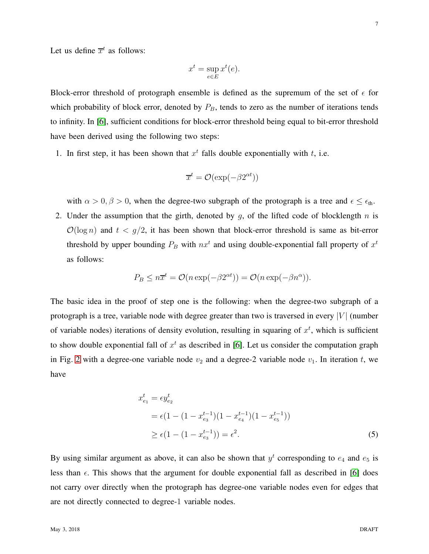Let us define  $\overline{x}^t$  as follows:

$$
x^t = \sup_{e \in E} x^t(e).
$$

Block-error threshold of protograph ensemble is defined as the supremum of the set of  $\epsilon$  for which probability of block error, denoted by  $P_B$ , tends to zero as the number of iterations tends to infinity. In [\[6\]](#page-24-3), sufficient conditions for block-error threshold being equal to bit-error threshold have been derived using the following two steps:

1. In first step, it has been shown that  $x<sup>t</sup>$  falls double exponentially with t, i.e.

$$
\overline{x}^t = \mathcal{O}(\exp(-\beta 2^{\alpha t}))
$$

with  $\alpha > 0$ ,  $\beta > 0$ , when the degree-two subgraph of the protograph is a tree and  $\epsilon \leq \epsilon_{\text{th}}$ .

2. Under the assumption that the girth, denoted by q, of the lifted code of blocklength  $n$  is  $\mathcal{O}(\log n)$  and  $t < g/2$ , it has been shown that block-error threshold is same as bit-error threshold by upper bounding  $P_B$  with  $nx<sup>t</sup>$  and using double-exponential fall property of  $x<sup>t</sup>$ as follows:

$$
P_B \le n\overline{x}^t = \mathcal{O}(n \exp(-\beta 2^{\alpha t})) = \mathcal{O}(n \exp(-\beta n^{\alpha})).
$$

The basic idea in the proof of step one is the following: when the degree-two subgraph of a protograph is a tree, variable node with degree greater than two is traversed in every | $V$ | (number of variable nodes) iterations of density evolution, resulting in squaring of  $x<sup>t</sup>$ , which is sufficient to show double exponential fall of  $x<sup>t</sup>$  as described in [\[6\]](#page-24-3). Let us consider the computation graph in Fig. [2](#page-7-0) with a degree-one variable node  $v_2$  and a degree-2 variable node  $v_1$ . In iteration t, we have

$$
x_{e_1}^t = \epsilon y_{e_2}^t
$$
  
=  $\epsilon (1 - (1 - x_{e_3}^{t-1})(1 - x_{e_4}^{t-1})(1 - x_{e_5}^{t-1}))$   
 $\ge \epsilon (1 - (1 - x_{e_3}^{t-1})) = \epsilon^2.$  (5)

By using similar argument as above, it can also be shown that  $y<sup>t</sup>$  corresponding to  $e_4$  and  $e_5$  is less than  $\epsilon$ . This shows that the argument for double exponential fall as described in [\[6\]](#page-24-3) does not carry over directly when the protograph has degree-one variable nodes even for edges that are not directly connected to degree-1 variable nodes.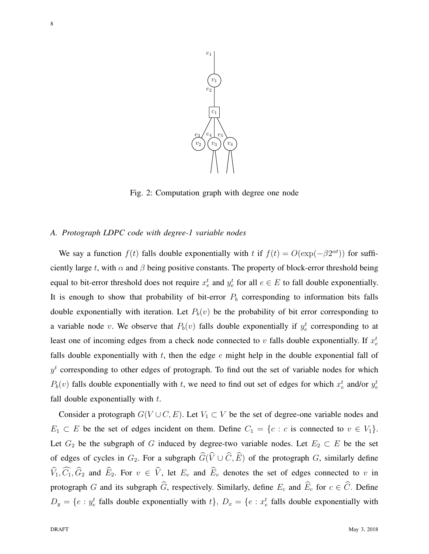<span id="page-7-0"></span>

Fig. 2: Computation graph with degree one node

#### <span id="page-7-1"></span>*A. Protograph LDPC code with degree-1 variable nodes*

We say a function  $f(t)$  falls double exponentially with t if  $f(t) = O(\exp(-\beta 2^{\alpha t}))$  for sufficiently large t, with  $\alpha$  and  $\beta$  being positive constants. The property of block-error threshold being equal to bit-error threshold does not require  $x_e^t$  and  $y_e^t$  for all  $e \in E$  to fall double exponentially. It is enough to show that probability of bit-error  $P<sub>b</sub>$  corresponding to information bits falls double exponentially with iteration. Let  $P_b(v)$  be the probability of bit error corresponding to a variable node v. We observe that  $P_b(v)$  falls double exponentially if  $y_e^t$  corresponding to at least one of incoming edges from a check node connected to  $v$  falls double exponentially. If  $x_e^t$ falls double exponentially with t, then the edge  $e$  might help in the double exponential fall of  $y<sup>t</sup>$  corresponding to other edges of protograph. To find out the set of variable nodes for which  $P_b(v)$  falls double exponentially with t, we need to find out set of edges for which  $x_e^t$  and/or  $y_e^t$ fall double exponentially with  $t$ .

Consider a protograph  $G(V \cup C, E)$ . Let  $V_1 \subset V$  be the set of degree-one variable nodes and  $E_1 \subset E$  be the set of edges incident on them. Define  $C_1 = \{c : c \text{ is connected to } v \in V_1\}.$ Let  $G_2$  be the subgraph of G induced by degree-two variable nodes. Let  $E_2 \subset E$  be the set of edges of cycles in  $G_2$ . For a subgraph  $\widehat{G}(\widehat{V}\cup \widehat{C}, \widehat{E})$  of the protograph G, similarly define  $\widehat{V}_1, \widehat{C}_1, \widehat{G}_2$  and  $\widehat{E}_2$ . For  $v \in \widehat{V}$ , let  $E_v$  and  $\widehat{E}_v$  denotes the set of edges connected to v in protograph G and its subgraph  $\widehat{G}$ , respectively. Similarly, define  $E_c$  and  $\widehat{E}_c$  for  $c \in \widehat{C}$ . Define  $D_y = \{e : y_e^t \text{ falls double exponentially with } t\}, D_x = \{e : x_e^t \text{ falls double exponentially with } t\}$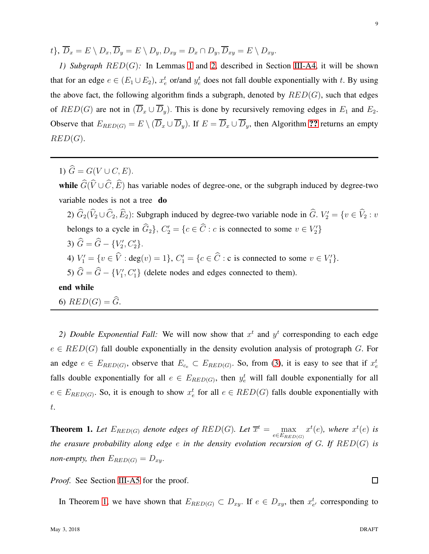<span id="page-8-0"></span> $t\},\,\overline{D}_x = E \setminus D_x, \overline{D}_y = E \setminus D_y, D_{xy} = D_x \cap D_y, \overline{D}_{xy} = E \setminus D_{xy}.$ 

*1) Subgraph* RED(G)*:* In Lemmas [1](#page-12-0) and [2,](#page-13-0) described in Section [III-A4,](#page-12-1) it will be shown that for an edge  $e \in (E_1 \cup E_2)$ ,  $x_e^t$  or/and  $y_e^t$  does not fall double exponentially with t. By using the above fact, the following algorithm finds a subgraph, denoted by  $RED(G)$ , such that edges of  $RED(G)$  are not in  $(\overline{D}_x \cup \overline{D}_y)$ . This is done by recursively removing edges in  $E_1$  and  $E_2$ . Observe that  $E_{RED(G)} = E \setminus (\overline{D}_x \cup \overline{D}_y)$ . If  $E = \overline{D}_x \cup \overline{D}_y$ , then Algorithm [??](#page-8-0) returns an empty  $RED(G).$ 

1)  $\widehat{G} = G(V \cup C, E)$ .

while  $\widehat{G}(\widehat{V}\cup \widehat{C}, \widehat{E})$  has variable nodes of degree-one, or the subgraph induced by degree-two variable nodes is not a tree do

2)  $G_2(V_2 \cup C_2, E_2)$ : Subgraph induced by degree-two variable node in  $G$ .  $V_2' = \{v \in V_2 : v \in V_1\}$ belongs to a cycle in  $\widehat{G}_2$ ,  $C'_2 = \{c \in \widehat{C} : c \text{ is connected to some } v \in V'_2\}$ 

- 3)  $\hat{G} = \hat{G} \{V'_2, C'_2\}.$
- 4)  $V'_1 = \{v \in \hat{V} : \text{deg}(v) = 1\}, C'_1 = \{c \in \hat{C} : \text{c is connected to some } v \in V'_1\}.$
- 5)  $\hat{G} = \hat{G} \{V_1', C_1'\}$  (delete nodes and edges connected to them).

# end while

6)  $RED(G) = \widehat{G}$ .

2) Double Exponential Fall: We will now show that  $x<sup>t</sup>$  and  $y<sup>t</sup>$  corresponding to each edge  $e \in RED(G)$  fall double exponentially in the density evolution analysis of protograph G. For an edge  $e \in E_{RED(G)}$ , observe that  $E_{c_e} \subset E_{RED(G)}$ . So, from [\(3\)](#page-5-2), it is easy to see that if  $x_e^t$ falls double exponentially for all  $e \in E_{RED(G)}$ , then  $y_e^t$  will fall double exponentially for all  $e \in E_{RED(G)}$ . So, it is enough to show  $x_e^t$  for all  $e \in RED(G)$  falls double exponentially with t.

<span id="page-8-1"></span>**Theorem 1.** Let  $E_{RED(G)}$  denote edges of  $RED(G)$ . Let  $\overline{x}^t = \max_{e \in E_{RED(G)}} x^t(e)$ , where  $x^t(e)$  is *the erasure probability along edge* e *in the density evolution recursion of* G*. If* RED(G) *is non-empty, then*  $E_{RED(G)} = D_{xy}$ .

*Proof.* See Section [III-A5](#page-15-0) for the proof.

In Theorem [1,](#page-8-1) we have shown that  $E_{RED(G)} \subset D_{xy}$ . If  $e \in D_{xy}$ , then  $x_{e'}^t$  corresponding to

 $\Box$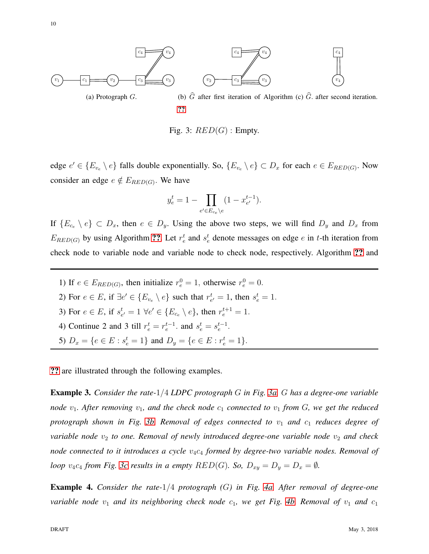<span id="page-9-0"></span>

Fig. 3:  $RED(G)$ : Empty.

edge  $e' \in \{E_{v_e} \setminus e\}$  falls double exponentially. So,  $\{E_{v_e} \setminus e\} \subset D_x$  for each  $e \in E_{RED(G)}$ . Now consider an edge  $e \notin E_{RED(G)}$ . We have

$$
y_e^t = 1 - \prod_{e' \in E_{c_e} \backslash e} (1 - x_{e'}^{t-1}).
$$

If  $\{E_{c_e} \setminus e\} \subset D_x$ , then  $e \in D_y$ . Using the above two steps, we will find  $D_y$  and  $D_x$  from  $E_{RED(G)}$  by using Algorithm [??](#page-8-1). Let  $r_e^t$  and  $s_e^t$  denote messages on edge e in t-th iteration from check node to variable node and variable node to check node, respectively. Algorithm [??](#page-8-0) and

1) If  $e \in E_{RED(G)}$ , then initialize  $r_e^0 = 1$ , otherwise  $r_e^0 = 0$ . 2) For  $e \in E$ , if  $\exists e' \in \{E_{v_e} \setminus e\}$  such that  $r_{e'}^t = 1$ , then  $s_e^t = 1$ . 3) For  $e \in E$ , if  $s_{e'}^t = 1 \ \forall e' \in \{E_{c_e} \setminus e\}$ , then  $r_e^{t+1} = 1$ . 4) Continue 2 and 3 till  $r_e^t = r_e^{t-1}$ . and  $s_e^t = s_e^{t-1}$ . 5)  $D_x = \{e \in E : s_e^t = 1\}$  and  $D_y = \{e \in E : r_e^t = 1\}.$ 

[??](#page-8-1) are illustrated through the following examples.

Example 3. *Consider the rate-*1/4 *LDPC protograph* G *in Fig. [3a.](#page-9-0)* G *has a degree-one variable node*  $v_1$ *. After removing*  $v_1$ *, and the check node*  $c_1$  *connected to*  $v_1$  *from G, we get the reduced protograph shown in Fig. [3b.](#page-9-0) Removal of edges connected to*  $v_1$  *and*  $c_1$  *reduces degree of variable node*  $v_2$  *to one. Removal of newly introduced degree-one variable node*  $v_2$  *and check node connected to it introduces a cycle*  $v_4c_4$  *formed by degree-two variable nodes. Removal of loop*  $v_4c_4$  *from Fig. 3c results in a empty*  $RED(G)$ *. So,*  $D_{xy} = D_y = D_x = \emptyset$ *.* 

Example 4. *Consider the rate-*1/4 *protograph (*G*) in Fig. [4a.](#page-10-0) After removal of degree-one variable node*  $v_1$  *and its neighboring check node*  $c_1$ *, we get Fig. [4b.](#page-10-0) Removal of*  $v_1$  *and*  $c_1$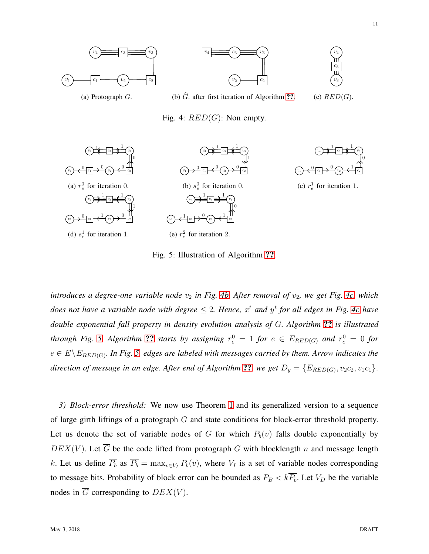11

<span id="page-10-1"></span><span id="page-10-0"></span>

Fig. 5: Illustration of Algorithm [??](#page-8-1).

*introduces a degree-one variable node*  $v_2$  *in Fig. [4b.](#page-10-0) After removal of*  $v_2$ *, we get Fig. [4c,](#page-10-0) which does not have a variable node with degree*  $\leq$  2. Hence,  $x^t$  and  $y^t$  for all edges in Fig. [4c](#page-10-0) have *double exponential fall property in density evolution analysis of* G*. Algorithm* [??](#page-8-1) *is illustrated through Fig.* [5.](#page-10-1) Algorithm [??](#page-8-1) *starts by assigning*  $r_e^0 = 1$  *for*  $e \in E_{RED(G)}$  *and*  $r_e^0 = 0$  *for*  $e \in E \backslash E_{RED(G)}$ . In Fig. [5,](#page-10-1) edges are labeled with messages carried by them. Arrow indicates the direction of message in an edge. After end of Algorithm  $\mathbf{??}$  $\mathbf{??}$  $\mathbf{??}$ , we get  $D_y = \{E_{RED(G)}, v_2c_2, v_1c_1\}$ .

<span id="page-10-2"></span>*3) Block-error threshold:* We now use Theorem [1](#page-8-1) and its generalized version to a sequence of large girth liftings of a protograph G and state conditions for block-error threshold property. Let us denote the set of variable nodes of G for which  $P_b(v)$  falls double exponentially by  $DEX(V)$ . Let  $\overline{G}$  be the code lifted from protograph G with blocklength n and message length k. Let us define  $\overline{P_b}$  as  $\overline{P_b} = \max_{v \in V_I} P_b(v)$ , where  $V_I$  is a set of variable nodes corresponding to message bits. Probability of block error can be bounded as  $P_B < k\overline{P_b}$ . Let  $V_D$  be the variable nodes in  $\overline{G}$  corresponding to  $DEX(V)$ .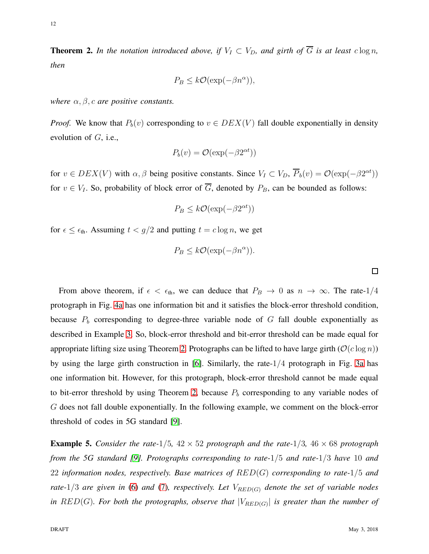**Theorem 2.** In the notation introduced above, if  $V_I \subset V_D$ , and girth of  $\overline{G}$  is at least  $c \log n$ , *then*

$$
P_B \le k\mathcal{O}(\exp(-\beta n^{\alpha})),
$$

*where*  $\alpha$ ,  $\beta$ , *c* are positive constants.

*Proof.* We know that  $P_b(v)$  corresponding to  $v \in DEX(V)$  fall double exponentially in density evolution of  $G$ , i.e.,

$$
P_b(v) = \mathcal{O}(\exp(-\beta 2^{\alpha t}))
$$

for  $v \in DEX(V)$  with  $\alpha, \beta$  being positive constants. Since  $V_I \subset V_D$ ,  $\overline{P}_b(v) = \mathcal{O}(\exp(-\beta 2^{\alpha t}))$ for  $v \in V_I$ . So, probability of block error of  $\overline{G}$ , denoted by  $P_B$ , can be bounded as follows:

$$
P_B \le k\mathcal{O}(\exp(-\beta 2^{\alpha t}))
$$

for  $\epsilon \leq \epsilon_{\text{th}}$ . Assuming  $t < g/2$  and putting  $t = c \log n$ , we get

$$
P_B \leq k\mathcal{O}(\exp(-\beta n^{\alpha})).
$$

From above theorem, if  $\epsilon < \epsilon_{\text{th}}$ , we can deduce that  $P_B \to 0$  as  $n \to \infty$ . The rate-1/4 protograph in Fig. [4a](#page-10-0) has one information bit and it satisfies the block-error threshold condition, because  $P_b$  corresponding to degree-three variable node of G fall double exponentially as described in Example [3.](#page-9-0) So, block-error threshold and bit-error threshold can be made equal for appropriate lifting size using Theorem [2.](#page-10-2) Protographs can be lifted to have large girth ( $\mathcal{O}(c \log n)$ ) by using the large girth construction in [\[6\]](#page-24-3). Similarly, the rate-1/4 protograph in Fig. [3a](#page-9-0) has one information bit. However, for this protograph, block-error threshold cannot be made equal to bit-error threshold by using Theorem [2,](#page-10-2) because  $P<sub>b</sub>$  corresponding to any variable nodes of G does not fall double exponentially. In the following example, we comment on the block-error threshold of codes in 5G standard [\[9\]](#page-24-6).

**Example 5.** Consider the rate- $1/5$ ,  $42 \times 52$  protograph and the rate- $1/3$ ,  $46 \times 68$  protograph *from the 5G standard [\[9\]](#page-24-6). Protographs corresponding to rate-*1/5 *and rate-*1/3 *have* 10 *and* 22 *information nodes, respectively. Base matrices of* RED(G) *corresponding to rate-*1/5 *and rate-*1/3 *are given in* [\(6\)](#page-12-2) *and* [\(7\)](#page-12-3)*, respectively. Let*  $V_{RED(G)}$  *denote the set of variable nodes* in  $RED(G)$ *. For both the protographs, observe that*  $|V_{RED(G)}|$  is greater than the number of

 $\Box$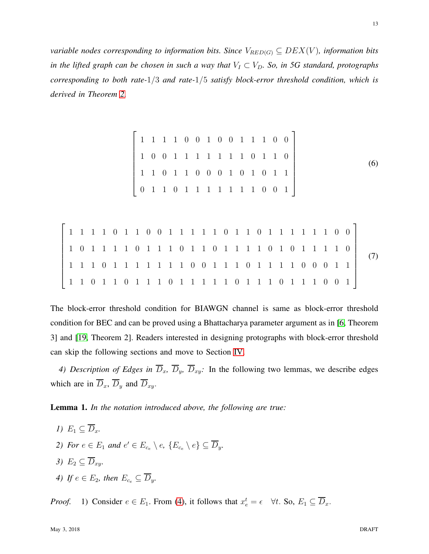*variable nodes corresponding to information bits. Since*  $V_{RED(G)} \subseteq DEX(V)$ *, information bits in the lifted graph can be chosen in such a way that*  $V_I \subset V_D$ *. So, in 5G standard, protographs corresponding to both rate-*1/3 *and rate-*1/5 *satisfy block-error threshold condition, which is derived in Theorem [2.](#page-10-2)*

<span id="page-12-3"></span><span id="page-12-2"></span>

|  |  |  |                                                                                                       | $\begin{array}{ccccccccccccccccc} 1 & 1 & 1 & 1 & 0 & 0 & 1 & 0 & 0 & 1 & 1 & 1 & 0 & 0 \end{array}$     |  |  |  |  |  |  |  |  |  |                                                                                                                                                                                                                                                                                                                   |
|--|--|--|-------------------------------------------------------------------------------------------------------|----------------------------------------------------------------------------------------------------------|--|--|--|--|--|--|--|--|--|-------------------------------------------------------------------------------------------------------------------------------------------------------------------------------------------------------------------------------------------------------------------------------------------------------------------|
|  |  |  |                                                                                                       | $\begin{array}{ccccccccccccccccccccc} 1 & 0 & 0 & 1 & 1 & 1 & 1 & 1 & 1 & 1 & 0 & 1 & 1 & 0 \end{array}$ |  |  |  |  |  |  |  |  |  | (6)                                                                                                                                                                                                                                                                                                               |
|  |  |  |                                                                                                       | 1 1 0 1 1 0 0 0 1 0 1 0 1 1                                                                              |  |  |  |  |  |  |  |  |  |                                                                                                                                                                                                                                                                                                                   |
|  |  |  | $\begin{array}{cccccccccccccccccc} 0 & 1 & 1 & 0 & 1 & 1 & 1 & 1 & 1 & 1 & 1 & 0 & 0 & 1 \end{array}$ |                                                                                                          |  |  |  |  |  |  |  |  |  |                                                                                                                                                                                                                                                                                                                   |
|  |  |  |                                                                                                       |                                                                                                          |  |  |  |  |  |  |  |  |  |                                                                                                                                                                                                                                                                                                                   |
|  |  |  |                                                                                                       |                                                                                                          |  |  |  |  |  |  |  |  |  | $\begin{bmatrix} 1 & 1 & 1 & 1 & 0 & 1 & 1 & 0 & 0 & 1 & 1 & 1 & 1 & 1 & 0 & 1 & 1 & 1 & 1 & 1 & 1 & 1 & 1 & 0 & 0 \\ 1 & 0 & 1 & 1 & 1 & 1 & 0 & 1 & 1 & 1 & 0 & 1 & 1 & 1 & 1 & 1 & 0 & 1 & 1 & 1 & 1 & 1 & 0 \\ 0 & 0 & 0 & 0 & 0 & 0 & 0 & 1 & 1 & 1 & 1 & 1 & 0 & 1 & 1 & 1 & 1 & 1 \\ 0 & 0 & 0 & 0 & 0 & $ |
|  |  |  |                                                                                                       |                                                                                                          |  |  |  |  |  |  |  |  |  |                                                                                                                                                                                                                                                                                                                   |
|  |  |  |                                                                                                       |                                                                                                          |  |  |  |  |  |  |  |  |  |                                                                                                                                                                                                                                                                                                                   |
|  |  |  |                                                                                                       |                                                                                                          |  |  |  |  |  |  |  |  |  |                                                                                                                                                                                                                                                                                                                   |

The block-error threshold condition for BIAWGN channel is same as block-error threshold condition for BEC and can be proved using a Bhattacharya parameter argument as in [\[6,](#page-24-3) Theorem 3] and [\[19,](#page-25-4) Theorem 2]. Readers interested in designing protographs with block-error threshold can skip the following sections and move to Section [IV.](#page-19-0)

<span id="page-12-1"></span><span id="page-12-0"></span>*4) Description of Edges in*  $\overline{D}_x$ ,  $\overline{D}_y$ ,  $\overline{D}_{xy}$ : In the following two lemmas, we describe edges which are in  $\overline{D}_x$ ,  $\overline{D}_y$  and  $\overline{D}_{xy}$ .

Lemma 1. *In the notation introduced above, the following are true:*

- *1)*  $E_1 \subset \overline{D}_x$ .
- 2) For  $e \in E_1$  and  $e' \in E_{c_e} \setminus e$ ,  $\{E_{c_e} \setminus e\} \subseteq \overline{D}_y$ .
- *3)*  $E_2 \subseteq \overline{D}_{x\overline{v}}$ .
- *4)* If  $e \in E_2$ , then  $E_{c_e} \subseteq \overline{D}_y$ .

*Proof.* 1) Consider  $e \in E_1$ . From [\(4\)](#page-5-3), it follows that  $x_e^t = \epsilon \quad \forall t$ . So,  $E_1 \subseteq \overline{D}_x$ .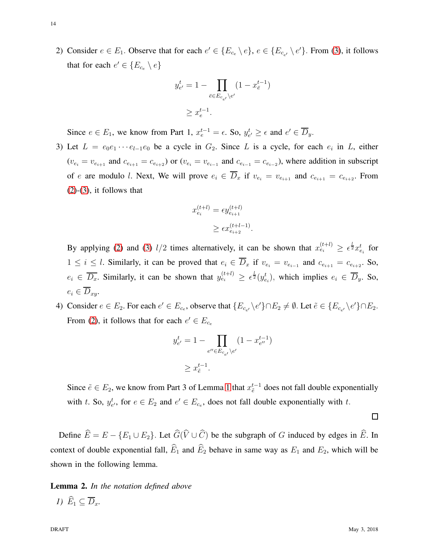2) Consider  $e \in E_1$ . Observe that for each  $e' \in \{E_{c_e} \setminus e\}$ ,  $e \in \{E_{c_{e'}} \setminus e'\}$ . From [\(3\)](#page-5-2), it follows that for each  $e' \in \{E_{c_e} \setminus e\}$ 

$$
y_{e'}^t = 1 - \prod_{\bar{e} \in E_{c_{e'}} \backslash e'} (1 - x_{\bar{e}}^{t-1})
$$
  

$$
\geq x_e^{t-1}.
$$

Since  $e \in E_1$ , we know from Part 1,  $x_e^{t-1} = \epsilon$ . So,  $y_{e'}^t \ge \epsilon$  and  $e' \in \overline{D}_y$ .

3) Let  $L = e_0 e_1 \cdots e_{l-1} e_0$  be a cycle in  $G_2$ . Since L is a cycle, for each  $e_i$  in L, either  $(v_{e_i} = v_{e_{i+1}}$  and  $c_{e_{i+1}} = c_{e_{i+2}}$  or  $(v_{e_i} = v_{e_{i-1}}$  and  $c_{e_{i-1}} = c_{e_{i-2}}$ , where addition in subscript of e are modulo l. Next, We will prove  $e_i \in \overline{D}_x$  if  $v_{e_i} = v_{e_{i+1}}$  and  $c_{e_{i+1}} = c_{e_{i+2}}$ . From  $(2)-(3)$  $(2)-(3)$  $(2)-(3)$ , it follows that

$$
x_{e_i}^{(t+l)} = \epsilon y_{e_{i+1}}^{(t+l)}
$$

$$
\geq \epsilon x_{e_{i+2}}^{(t+l-1)}.
$$

By applying [\(2\)](#page-5-1) and [\(3\)](#page-5-2)  $l/2$  times alternatively, it can be shown that  $x_{e_i}^{(t+l)} \ge \epsilon^{\frac{l}{2}} x_{e_i}^t$  for  $1 \leq i \leq l$ . Similarly, it can be proved that  $e_i \in D_x$  if  $v_{e_i} = v_{e_{i-1}}$  and  $c_{e_{i+1}} = c_{e_{i+2}}$ . So,  $e_i \in \overline{D_x}$ . Similarly, it can be shown that  $y_{e_i}^{(t+l)} \ge \epsilon^{\frac{l}{2}}(y_{e_i}^t)$ , which implies  $e_i \in \overline{D}_y$ . So,  $e_i \in \overline{D}_{x_i}.$ 

4) Consider  $e \in E_2$ . For each  $e' \in E_{c_e}$ , observe that  $\{E_{c_{e'}} \setminus e'\} \cap E_2 \neq \emptyset$ . Let  $\tilde{e} \in \{E_{c_{e'}} \setminus e'\} \cap E_2$ . From [\(2\)](#page-5-1), it follows that for each  $e' \in E_{c_e}$ 

$$
y_{e'}^t = 1 - \prod_{e'' \in E_{c_{e'}} \backslash e'} (1 - x_{e''}^{t-1})
$$
  

$$
\geq x_{\tilde{e}}^{t-1}.
$$

Since  $\tilde{e} \in E_2$ , we know from Part 3 of Lemma [1](#page-12-0) that  $x_{\tilde{e}}^{t-1}$  $\frac{t-1}{\tilde{e}}$  does not fall double exponentially with t. So,  $y_{e'}^t$ , for  $e \in E_2$  and  $e' \in E_{c_e}$ , does not fall double exponentially with t.

Define  $\widehat{E} = E - \{E_1 \cup E_2\}$ . Let  $\widehat{G}(\widehat{V} \cup \widehat{C})$  be the subgraph of G induced by edges in  $\widehat{E}$ . In context of double exponential fall,  $\widehat{E}_1$  and  $\widehat{E}_2$  behave in same way as  $E_1$  and  $E_2$ , which will be shown in the following lemma.

<span id="page-13-0"></span>Lemma 2. *In the notation defined above 1)*  $\widehat{E}_1 \subset \overline{D}_x$ .

 $\Box$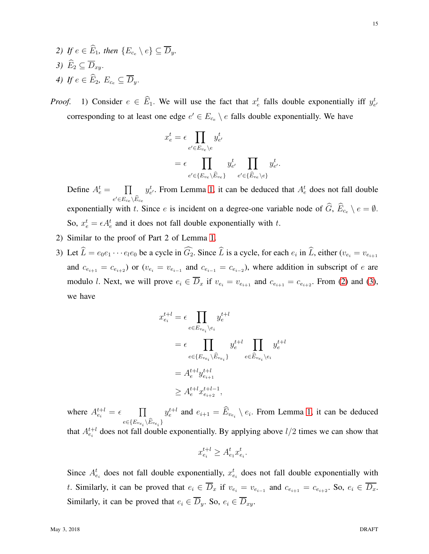- *2) If*  $e \in \widehat{E}_1$ , then  $\{E_{c_0} \setminus e\} \subset \overline{D}_v$ . 3)  $\widehat{E}_2 \subseteq \overline{D}_{xu}$ . *4) If*  $e \in \widehat{E}_2$ ,  $E_{c_e} \subset \overline{D}_v$ .
- *Proof.* 1) Consider  $e \in \widehat{E}_1$ . We will use the fact that  $x_e^t$  falls double exponentially iff  $y_{e'}^t$ corresponding to at least one edge  $e' \in E_{c_e} \setminus e$  falls double exponentially. We have

$$
x_e^t = \epsilon \prod_{e' \in E_{v_e} \setminus e} y_{e'}^t
$$
  
= 
$$
\epsilon \prod_{e' \in \{E_{v_e} \setminus \widehat{E}_{v_e}\}} y_{e'}^t \prod_{e' \in \{\widehat{E}_{v_e} \setminus e\}} y_{e'}^t.
$$

Define  $A_e^t = \prod$  $e^\prime{\in}E_{c_e}\backslash\bar{E}_{c_e}$  $y_{e'}^t$ . From Lemma [1,](#page-12-0) it can be deduced that  $A_e^t$  does not fall double exponentially with t. Since e is incident on a degree-one variable node of  $\widehat{G}$ ,  $\widehat{E}_{c_e} \setminus e = \emptyset$ . So,  $x_e^t = \epsilon A_e^t$  and it does not fall double exponentially with t.

- 2) Similar to the proof of Part 2 of Lemma [1.](#page-12-0)
- 3) Let  $L = e_0 e_1 \cdots e_l e_0$  be a cycle in  $G_2$ . Since L is a cycle, for each  $e_i$  in L, either  $(v_{e_i} = v_{e_{i+1}})$ and  $c_{e_{i+1}} = c_{e_{i+2}}$  or  $(v_{e_i} = v_{e_{i-1}})$  and  $c_{e_{i-1}} = c_{e_{i-2}}$ , where addition in subscript of e are modulo l. Next, we will prove  $e_i \in \overline{D}_x$  if  $v_{e_i} = v_{e_{i+1}}$  and  $c_{e_{i+1}} = c_{e_{i+2}}$ . From [\(2\)](#page-5-1) and [\(3\)](#page-5-2), we have

$$
x_{e_i}^{t+l} = \epsilon \prod_{e \in E_{v_{e_i}} \setminus e_i} y_e^{t+l}
$$
  
\n
$$
= \epsilon \prod_{e \in \{E_{v_{e_i}} \setminus \widehat{E}_{v_{e_i}}\}} y_e^{t+l} \prod_{e \in \widehat{E}_{v_{e_i}} \setminus e_i} y_e^{t+l}
$$
  
\n
$$
= A_e^{t+l} y_{e_{i+1}}^{t+l}
$$
  
\n
$$
\geq A_e^{t+l} x_{e_{i+2}}^{t+l-1},
$$

where  $A_{e_i}^{t+l} = \epsilon$   $\prod$  $e \in \{E_{ve_i} \backslash E_{ve_i}\}$  $y_e^{t+l}$  and  $e_{i+1} = \widehat{E}_{v_{e_i}} \setminus e_i$ . From Lemma [1,](#page-12-0) it can be deduced that  $A_{e_i}^{t+l}$  does not fall double exponentially. By applying above  $l/2$  times we can show that

$$
x_{e_i}^{t+l} \ge A_{e_1}^t x_{e_i}^t.
$$

Since  $A_{e_i}^t$  does not fall double exponentially,  $x_{e_i}^t$  does not fall double exponentially with t. Similarly, it can be proved that  $e_i \in D_x$  if  $v_{e_i} = v_{e_{i-1}}$  and  $c_{e_{i+1}} = c_{e_{i+2}}$ . So,  $e_i \in D_x$ . Similarly, it can be proved that  $e_i \in \overline{D}_y$ . So,  $e_i \in \overline{D}_{xy}$ .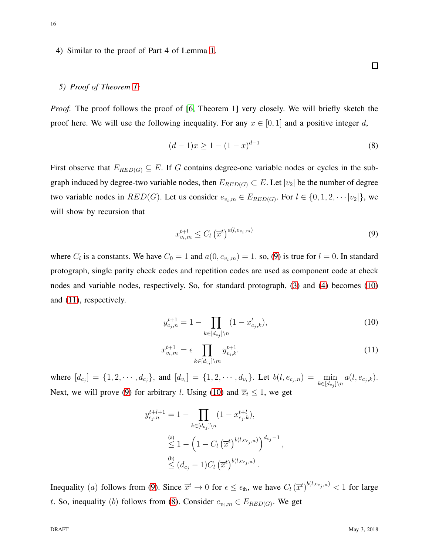# <span id="page-15-0"></span>4) Similar to the proof of Part 4 of Lemma [1.](#page-12-0)

#### *5) Proof of Theorem [1:](#page-8-1)*

*Proof.* The proof follows the proof of [\[6,](#page-24-3) Theorem 1] very closely. We will briefly sketch the proof here. We will use the following inequality. For any  $x \in [0, 1]$  and a positive integer d,

<span id="page-15-4"></span>
$$
(d-1)x \ge 1 - (1-x)^{d-1} \tag{8}
$$

First observe that  $E_{RED(G)} \subseteq E$ . If G contains degree-one variable nodes or cycles in the subgraph induced by degree-two variable nodes, then  $E_{RED(G)} \subset E$ . Let  $|v_2|$  be the number of degree two variable nodes in  $RED(G)$ . Let us consider  $e_{v_i,m} \in E_{RED(G)}$ . For  $l \in \{0, 1, 2, \cdots |v_2|\}$ , we will show by recursion that

<span id="page-15-1"></span>
$$
x_{v_i,m}^{t+l} \le C_l \left(\overline{x}^t\right)^{a(l,e_{v_i,m})} \tag{9}
$$

where  $C_l$  is a constants. We have  $C_0 = 1$  and  $a(0, e_{v_i,m}) = 1$ . so, [\(9\)](#page-15-1) is true for  $l = 0$ . In standard protograph, single parity check codes and repetition codes are used as component code at check nodes and variable nodes, respectively. So, for standard protograph, [\(3\)](#page-5-2) and [\(4\)](#page-5-3) becomes [\(10\)](#page-15-2) and [\(11\)](#page-15-3), respectively.

<span id="page-15-3"></span><span id="page-15-2"></span>
$$
y_{c_j,n}^{t+1} = 1 - \prod_{k \in [d_{c_j}] \setminus n} (1 - x_{c_j,k}^t),
$$
\n(10)

$$
x_{v_i,m}^{t+1} = \epsilon \prod_{k \in [d_{v_i}] \setminus m} y_{v_i,k}^{t+1}.
$$
 (11)

where  $[d_{c_j}] = \{1, 2, \dots, d_{c_j}\}\$ , and  $[d_{v_i}] = \{1, 2, \dots, d_{v_i}\}\$ . Let  $b(l, e_{c_j, n}) = \min_{k \in [d_{c_j}] \setminus n} a(l, e_{c_j, k})$ . Next, we will prove [\(9\)](#page-15-1) for arbitrary *l*. Using [\(10\)](#page-15-2) and  $\overline{x}_t \leq 1$ , we get

$$
y_{c_j,n}^{t+l+1} = 1 - \prod_{k \in [d_{c_j}] \setminus n} (1 - x_{c_j,k}^{t+l}),
$$
  
\n
$$
\leq 1 - \left(1 - C_l \left(\overline{x}^t\right)^{b(l,e_{c_j,n})}\right)^{d_{c_j}-1},
$$
  
\n
$$
\leq (d_{c_j} - 1)C_l \left(\overline{x}^t\right)^{b(l,e_{c_j,n})}.
$$

Inequality (a) follows from [\(9\)](#page-15-1). Since  $\overline{x}^t \to 0$  for  $\epsilon \leq \epsilon_{\text{th}}$ , we have  $C_l (\overline{x}^t)^{b(l,e_{c_j,n})} < 1$  for large t. So, inequality (b) follows from [\(8\)](#page-15-4). Consider  $e_{v_i,m} \in E_{RED(G)}$ . We get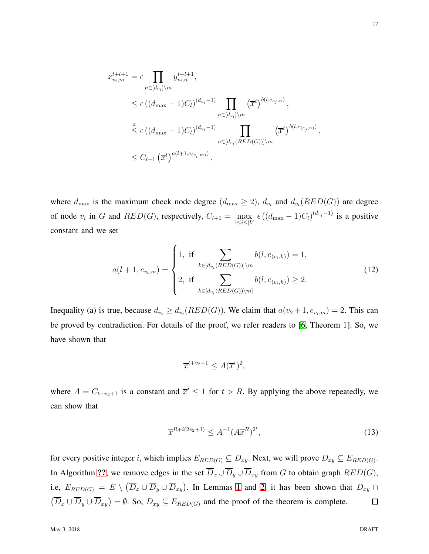$$
x_{v_i,m}^{t+l+1} = \epsilon \prod_{n \in [d_{v_i}] \backslash m} y_{v_i,n}^{t+l+1},
$$
  
\n
$$
\leq \epsilon ((d_{\max} - 1)C_l)^{(d_{v_i} - 1)} \prod_{n \in [d_{v_i}] \backslash m} (\overline{x}^t)^{b(l,e_{c_j,n})},
$$
  
\n
$$
\stackrel{a}{\leq} \epsilon ((d_{\max} - 1)C_l)^{(d_{v_i} - 1)} \prod_{n \in [d_{v_i}(RED(G))] \backslash m} (\overline{x}^t)^{b(l,e_{(c_j,n)})},
$$
  
\n
$$
\leq C_{l+1} (\overline{x}^t)^{a(l+1,e_{(v_i,m)})},
$$

where  $d_{\text{max}}$  is the maximum check node degree  $(d_{\text{max}} \geq 2)$ ,  $d_{v_i}$  and  $d_{v_i}(RED(G))$  are degree of node  $v_i$  in G and  $RED(G)$ , respectively,  $C_{l+1} = \max_{1 \le i \le |V|} \epsilon ((d_{\max} - 1)C_l)^{(d_{v_i} - 1)}$  is a positive constant and we set

$$
a(l+1, e_{v_i,m}) = \begin{cases} 1, & \text{if } \sum_{k \in [d_{v_i}(RED(G))] \setminus m} b(l, e_{(v_i,k)}) = 1, \\ 2, & \text{if } \sum_{k \in [d_{v_i}(RED(G)) \setminus m]} b(l, e_{(v_i,k)}) \ge 2. \end{cases}
$$
(12)

Inequality (a) is true, because  $d_{v_i} \geq d_{v_i}(RED(G))$ . We claim that  $a(v_2+1, e_{v_i,m}) = 2$ . This can be proved by contradiction. For details of the proof, we refer readers to [\[6,](#page-24-3) Theorem 1]. So, we have shown that

$$
\overline{x}^{t+v_2+1} \le A(\overline{x}^t)^2,
$$

where  $A = C_{t+v_2+1}$  is a constant and  $\overline{x}^t \leq 1$  for  $t > R$ . By applying the above repeatedly, we can show that

$$
\overline{x}^{R+i(2v_2+1)} \le A^{-1} (A \overline{x}^R)^{2^i},\tag{13}
$$

for every positive integer i, which implies  $E_{RED(G)} \subseteq D_{xy}$ . Next, we will prove  $D_{xy} \subseteq E_{RED(G)}$ . In Algorithm [??](#page-8-0), we remove edges in the set  $\overline{D}_x \cup \overline{D}_y \cup \overline{D}_{xy}$  from G to obtain graph  $RED(G)$ , i.e,  $E_{RED(G)} = E \setminus (\overline{D}_x \cup \overline{D}_y \cup \overline{D}_{xy})$ . In Lemmas [1](#page-12-0) and [2,](#page-13-0) it has been shown that  $D_{xy} \cap$  $(\overline{D}_x \cup \overline{D}_y \cup \overline{D}_{xy}) = \emptyset$ . So,  $D_{xy} \subseteq E_{RED(G)}$  and the proof of the theorem is complete.  $\Box$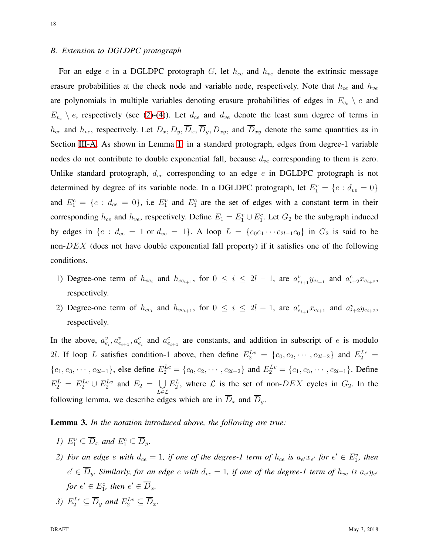# *B. Extension to DGLDPC protograph*

For an edge  $e$  in a DGLDPC protograph  $G$ , let  $h_{ce}$  and  $h_{ve}$  denote the extrinsic message erasure probabilities at the check node and variable node, respectively. Note that  $h_{ce}$  and  $h_{ve}$ are polynomials in multiple variables denoting erasure probabilities of edges in  $E_{c_e} \setminus e$  and  $E_{v_e} \setminus e$ , respectively (see [\(2\)](#page-5-1)-[\(4\)](#page-5-3)). Let  $d_{ce}$  and  $d_{ve}$  denote the least sum degree of terms in  $h_{ce}$  and  $h_{ve}$ , respectively. Let  $D_x, D_y, \overline{D}_x, \overline{D}_y, D_{xy}$ , and  $\overline{D}_{xy}$  denote the same quantities as in Section [III-A.](#page-7-1) As shown in Lemma [1,](#page-12-0) in a standard protograph, edges from degree-1 variable nodes do not contribute to double exponential fall, because  $d_{ve}$  corresponding to them is zero. Unlike standard protograph,  $d_{ve}$  corresponding to an edge e in DGLDPC protograph is not determined by degree of its variable node. In a DGLDPC protograph, let  $E_1^v = \{e : d_{ve} = 0\}$ and  $E_1^c = \{e : d_{ce} = 0\}$ , i.e  $E_1^v$  and  $E_1^c$  are the set of edges with a constant term in their corresponding  $h_{ce}$  and  $h_{ve}$ , respectively. Define  $E_1 = E_1^v \cup E_1^c$ . Let  $G_2$  be the subgraph induced by edges in  ${e : d_{ce} = 1 \text{ or } d_{ve} = 1}.$  A loop  $L = {e_0 e_1 \cdots e_{2l-1} e_0}$  in  $G_2$  is said to be non- $DEX$  (does not have double exponential fall property) if it satisfies one of the following conditions.

- 1) Degree-one term of  $h_{ve_i}$  and  $h_{ce_{i+1}}$ , for  $0 \le i \le 2l-1$ , are  $a_{e_{i+1}}^v y_{e_{i+1}}$  and  $a_{i+2}^c x_{e_{i+2}}$ , respectively.
- 2) Degree-one term of  $h_{ce_i}$  and  $h_{ve_{i+1}}$ , for  $0 \le i \le 2l-1$ , are  $a_{e_{i+1}}^c x_{e_{i+1}}$  and  $a_{i+2}^v y_{e_{i+2}}$ , respectively.

In the above,  $a_{e_i}^v, a_{e_{i+1}}^v, a_{e_i}^c$  and  $a_{e_{i+1}}^c$  are constants, and addition in subscript of e is modulo 2l. If loop L satisfies condition-1 above, then define  $E_2^{Lv} = \{e_0, e_2, \dots, e_{2l-2}\}\$  and  $E_2^{Lc} =$  $\{e_1, e_3, \cdots, e_{2l-1}\}\$ , else define  $E_2^{Lc} = \{e_0, e_2, \cdots, e_{2l-2}\}\$  and  $E_2^{Lv} = \{e_1, e_3, \cdots, e_{2l-1}\}\$ . Define  $E_2^L = E_2^{Lc} \cup E_2^{Lv}$  and  $E_2 = \bigcup$ L∈L  $E_2^L$ , where  $\mathcal L$  is the set of non- $DEX$  cycles in  $G_2$ . In the following lemma, we describe edges which are in  $\overline{D}_x$  and  $\overline{D}_y$ .

Lemma 3. *In the notation introduced above, the following are true:*

- *1*)  $E_1^v \subseteq \overline{D}_x$  and  $E_1^c \subseteq \overline{D}_y$ .
- 2) For an edge  $e$  with  $d_{ce} = 1$ , if one of the degree-1 term of  $h_{ce}$  is  $a_{e'}x_{e'}$  for  $e' \in E_1^v$ , then  $e' \in \overline{D}_y$ . Similarly, for an edge  $e$  with  $d_{ve} = 1$ , if one of the degree-1 term of  $h_{ve}$  is  $a_{e'}y_{e'}$ *for*  $e' \in E_1^c$ *, then*  $e' \in \overline{D}_x$ *.*
- 3)  $E_2^{Lc} \subseteq \overline{D}_y$  and  $E_2^{Lv} \subseteq \overline{D}_x$ .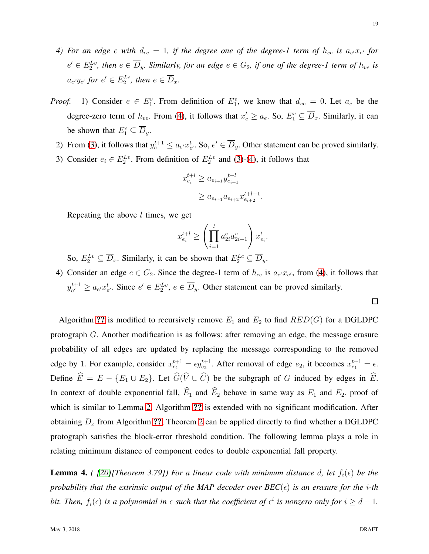- 4) For an edge  $e$  with  $d_{ce} = 1$ , if the degree one of the degree-1 term of  $h_{ce}$  is  $a_{e'}x_{e'}$  for  $e' \in E_2^{Lv}$ , then  $e \in \overline{D}_y$ . Similarly, for an edge  $e \in G_2$ , if one of the degree-1 term of  $h_{ve}$  is  $a_{e'}y_{e'}$  for  $e' \in E_2^{Lc}$ , then  $e \in \overline{D}_x$ .
- *Proof.* 1) Consider  $e \in E_1^v$ . From definition of  $E_1^v$ , we know that  $d_{ve} = 0$ . Let  $a_e$  be the degree-zero term of  $h_{ve}$ . From [\(4\)](#page-5-3), it follows that  $x_e^t \ge a_e$ . So,  $E_1^v \subseteq \overline{D}_x$ . Similarly, it can be shown that  $E_1^c \subseteq \overline{D}_y$ .
	- 2) From [\(3\)](#page-5-2), it follows that  $y_e^{t+1} \le a_{e'} x_{e'}^t$ . So,  $e' \in \overline{D}_y$ . Other statement can be proved similarly.
	- 3) Consider  $e_i \in E_2^{Lv}$ . From definition of  $E_2^{Lv}$  and [\(3\)](#page-5-2)-[\(4\)](#page-5-3), it follows that

$$
x_{e_i}^{t+l} \ge a_{e_{i+1}} y_{e_{i+1}}^{t+l}
$$
  

$$
\ge a_{e_{i+1}} a_{e_{i+2}} x_{e_{i+2}}^{t+l-1}.
$$

Repeating the above  $l$  times, we get

$$
x_{e_i}^{t+l} \ge \left(\prod_{i=1}^l a_{2i}^c a_{2i+1}^v\right) x_{e_i}^t.
$$

So,  $E_2^{Lv} \subseteq \overline{D}_x$ . Similarly, it can be shown that  $E_2^{Lc} \subseteq \overline{D}_y$ .

4) Consider an edge  $e \in G_2$ . Since the degree-1 term of  $h_{ce}$  is  $a_{e'}x_{e'}$ , from [\(4\)](#page-5-3), it follows that  $y_{e'}^{t+1}$  $e^{t+1} \ge a_{e'}x_{e'}^t$ . Since  $e' \in E_2^{Lv}$ ,  $e \in \overline{D}_y$ . Other statement can be proved similarly.

Algorithm [??](#page-8-0) is modified to recursively remove  $E_1$  and  $E_2$  to find  $RED(G)$  for a DGLDPC protograph G. Another modification is as follows: after removing an edge, the message erasure probability of all edges are updated by replacing the message corresponding to the removed edge by 1. For example, consider  $x_{e_1}^{t+1} = \epsilon y_{e_2}^{t+1}$ . After removal of edge  $e_2$ , it becomes  $x_{e_1}^{t+1} = \epsilon$ . Define  $\widehat{E} = E - \{E_1 \cup E_2\}$ . Let  $\widehat{G}(\widehat{V} \cup \widehat{C})$  be the subgraph of G induced by edges in  $\widehat{E}$ . In context of double exponential fall,  $\widehat{E}_1$  and  $\widehat{E}_2$  behave in same way as  $E_1$  and  $E_2$ , proof of which is similar to Lemma [2.](#page-13-0) Algorithm [??](#page-8-1) is extended with no significant modification. After obtaining  $D_x$  from Algorithm [??](#page-8-1), Theorem [2](#page-10-2) can be applied directly to find whether a DGLDPC protograph satisfies the block-error threshold condition. The following lemma plays a role in relating minimum distance of component codes to double exponential fall property.

<span id="page-18-0"></span>**Lemma 4.** *( [\[20\]](#page-25-5)[Theorem 3.79]) For a linear code with minimum distance d, let*  $f_i(\epsilon)$  *be the probability that the extrinsic output of the MAP decoder over*  $BEC(\epsilon)$  *is an erasure for the <i>i*-th *bit. Then,*  $f_i(\epsilon)$  *is a polynomial in*  $\epsilon$  *such that the coefficient of*  $\epsilon^i$  *is nonzero only for*  $i \geq d-1$ *.* 

 $\Box$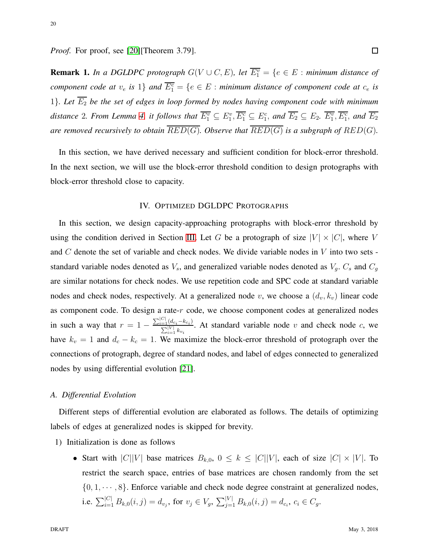*Proof.* For proof, see [\[20\]](#page-25-5)[Theorem 3.79].

**Remark 1.** In a DGLDPC protograph  $G(V \cup C, E)$ , let  $\overline{E_1^v} = \{e \in E : \text{minimum distance of } E\}$ *component code at*  $v_e$  *is* 1} *and*  $\overline{E_1^c} = \{e \in E : \text{minimum distance of component code at } c_e \text{ is }$ 1}. Let  $\overline{E_2}$  be the set of edges in loop formed by nodes having component code with minimum distance 2. From Lemma [4,](#page-18-0) it follows that  $\overline{E_1^v} \subseteq E_1^v, \overline{E_1^c} \subseteq E_1^c$ , and  $\overline{E_2} \subseteq E_2$ .  $\overline{E_1^v}, \overline{E_1^c}$ , and  $\overline{E_2}$ *are removed recursively to obtain*  $\overline{RED(G)}$ *. Observe that*  $\overline{RED(G)}$  *is a subgraph of*  $RED(G)$ *.* 

<span id="page-19-0"></span>In this section, we have derived necessary and sufficient condition for block-error threshold. In the next section, we will use the block-error threshold condition to design protographs with block-error threshold close to capacity.

#### IV. OPTIMIZED DGLDPC PROTOGRAPHS

In this section, we design capacity-approaching protographs with block-error threshold by using the condition derived in Section [III.](#page-5-0) Let G be a protograph of size  $|V| \times |C|$ , where V and  $C$  denote the set of variable and check nodes. We divide variable nodes in  $V$  into two sets standard variable nodes denoted as  $V_s$ , and generalized variable nodes denoted as  $V_g$ .  $C_s$  and  $C_g$ are similar notations for check nodes. We use repetition code and SPC code at standard variable nodes and check nodes, respectively. At a generalized node v, we choose a  $(d_v, k_v)$  linear code as component code. To design a rate- $r$  code, we choose component codes at generalized nodes in such a way that  $r = 1 - \frac{\sum_{i=1}^{|C|} (d_{c_i} - k_{c_i})}{\sum_{i=1}^{|V|} k_{c_i}}$  $\sum_{i=1}^{\lfloor u c_i - \kappa c_i \rfloor}$ . At standard variable node v and check node c, we have  $k_v = 1$  and  $d_c - k_c = 1$ . We maximize the block-error threshold of protograph over the connections of protograph, degree of standard nodes, and label of edges connected to generalized nodes by using differential evolution [\[21\]](#page-25-6).

#### *A. Differential Evolution*

Different steps of differential evolution are elaborated as follows. The details of optimizing labels of edges at generalized nodes is skipped for brevity.

- 1) Initialization is done as follows
	- Start with  $|C||V|$  base matrices  $B_{k,0}$ ,  $0 \le k \le |C||V|$ , each of size  $|C| \times |V|$ . To restrict the search space, entries of base matrices are chosen randomly from the set  $\{0, 1, \dots, 8\}$ . Enforce variable and check node degree constraint at generalized nodes, i.e.  $\sum_{i=1}^{|C|} B_{k,0}(i,j) = d_{v_j}$ , for  $v_j \in V_g$ ,  $\sum_{j=1}^{|V|} B_{k,0}(i,j) = d_{c_i}$ ,  $c_i \in C_g$ .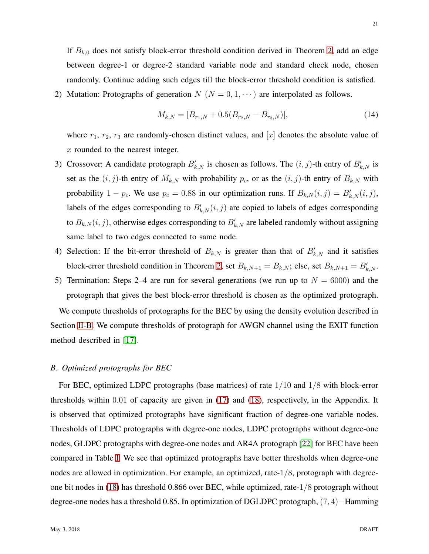If  $B_{k,0}$  does not satisfy block-error threshold condition derived in Theorem [2,](#page-10-2) add an edge between degree-1 or degree-2 standard variable node and standard check node, chosen randomly. Continue adding such edges till the block-error threshold condition is satisfied.

2) Mutation: Protographs of generation  $N(N = 0, 1, \dots)$  are interpolated as follows.

$$
M_{k,N} = [B_{r_1,N} + 0.5(B_{r_2,N} - B_{r_3,N})],\tag{14}
$$

where  $r_1$ ,  $r_2$ ,  $r_3$  are randomly-chosen distinct values, and  $[x]$  denotes the absolute value of x rounded to the nearest integer.

- 3) Crossover: A candidate protograph  $B'_{k,N}$  is chosen as follows. The  $(i, j)$ -th entry of  $B'_{k,N}$  is set as the  $(i, j)$ -th entry of  $M_{k,N}$  with probability  $p_c$ , or as the  $(i, j)$ -th entry of  $B_{k,N}$  with probability 1 – p<sub>c</sub>. We use  $p_c = 0.88$  in our optimization runs. If  $B_{k,N}(i,j) = B'_{k,N}(i,j)$ , labels of the edges corresponding to  $B'_{k,N}(i, j)$  are copied to labels of edges corresponding to  $B_{k,N}(i,j)$ , otherwise edges corresponding to  $B'_{k,N}$  are labeled randomly without assigning same label to two edges connected to same node.
- 4) Selection: If the bit-error threshold of  $B_{k,N}$  is greater than that of  $B'_{k,N}$  and it satisfies block-error threshold condition in Theorem [2,](#page-10-2) set  $B_{k,N+1} = B_{k,N}$ ; else, set  $B_{k,N+1} = B'_{k,N}$ .
- 5) Termination: Steps 2–4 are run for several generations (we run up to  $N = 6000$ ) and the protograph that gives the best block-error threshold is chosen as the optimized protograph.

We compute thresholds of protographs for the BEC by using the density evolution described in Section [II-B.](#page-4-1) We compute thresholds of protograph for AWGN channel using the EXIT function method described in [\[17\]](#page-25-2).

#### *B. Optimized protographs for BEC*

For BEC, optimized LDPC protographs (base matrices) of rate 1/10 and 1/8 with block-error thresholds within 0.01 of capacity are given in [\(17\)](#page-27-0) and [\(18\)](#page-27-1), respectively, in the Appendix. It is observed that optimized protographs have significant fraction of degree-one variable nodes. Thresholds of LDPC protographs with degree-one nodes, LDPC protographs without degree-one nodes, GLDPC protographs with degree-one nodes and AR4A protograph [\[22\]](#page-25-7) for BEC have been compared in Table [I.](#page-22-2) We see that optimized protographs have better thresholds when degree-one nodes are allowed in optimization. For example, an optimized, rate-1/8, protograph with degreeone bit nodes in [\(18\)](#page-27-1) has threshold 0.866 over BEC, while optimized, rate-1/8 protograph without degree-one nodes has a threshold 0.85. In optimization of DGLDPC protograph, (7, 4)−Hamming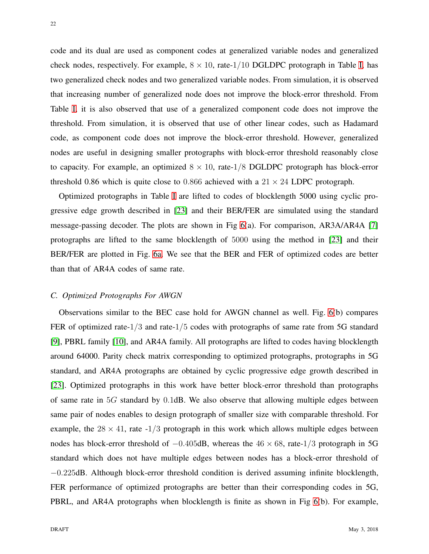code and its dual are used as component codes at generalized variable nodes and generalized check nodes, respectively. For example,  $8 \times 10$ , rate-1/10 DGLDPC protograph in Table [I,](#page-22-2) has two generalized check nodes and two generalized variable nodes. From simulation, it is observed that increasing number of generalized node does not improve the block-error threshold. From Table [I,](#page-22-2) it is also observed that use of a generalized component code does not improve the threshold. From simulation, it is observed that use of other linear codes, such as Hadamard code, as component code does not improve the block-error threshold. However, generalized nodes are useful in designing smaller protographs with block-error threshold reasonably close to capacity. For example, an optimized  $8 \times 10$ , rate- $1/8$  DGLDPC protograph has block-error threshold 0.86 which is quite close to 0.866 achieved with a  $21 \times 24$  LDPC protograph.

Optimized protographs in Table [I](#page-22-2) are lifted to codes of blocklength 5000 using cyclic progressive edge growth described in [\[23\]](#page-25-8) and their BER/FER are simulated using the standard message-passing decoder. The plots are shown in Fig [6\(](#page-23-0)a). For comparison, AR3A/AR4A [\[7\]](#page-24-4) protographs are lifted to the same blocklength of 5000 using the method in [\[23\]](#page-25-8) and their BER/FER are plotted in Fig. [6a.](#page-23-0) We see that the BER and FER of optimized codes are better than that of AR4A codes of same rate.

#### *C. Optimized Protographs For AWGN*

Observations similar to the BEC case hold for AWGN channel as well. Fig. [6\(](#page-23-0)b) compares FER of optimized rate-1/3 and rate-1/5 codes with protographs of same rate from 5G standard [\[9\]](#page-24-6), PBRL family [\[10\]](#page-24-7), and AR4A family. All protographs are lifted to codes having blocklength around 64000. Parity check matrix corresponding to optimized protographs, protographs in 5G standard, and AR4A protographs are obtained by cyclic progressive edge growth described in [\[23\]](#page-25-8). Optimized protographs in this work have better block-error threshold than protographs of same rate in 5G standard by 0.1dB. We also observe that allowing multiple edges between same pair of nodes enables to design protograph of smaller size with comparable threshold. For example, the  $28 \times 41$ , rate  $-1/3$  protograph in this work which allows multiple edges between nodes has block-error threshold of  $-0.405$ dB, whereas the  $46 \times 68$ , rate-1/3 protograph in 5G standard which does not have multiple edges between nodes has a block-error threshold of −0.225dB. Although block-error threshold condition is derived assuming infinite blocklength, FER performance of optimized protographs are better than their corresponding codes in 5G, PBRL, and AR4A protographs when blocklength is finite as shown in Fig [6\(](#page-23-0)b). For example,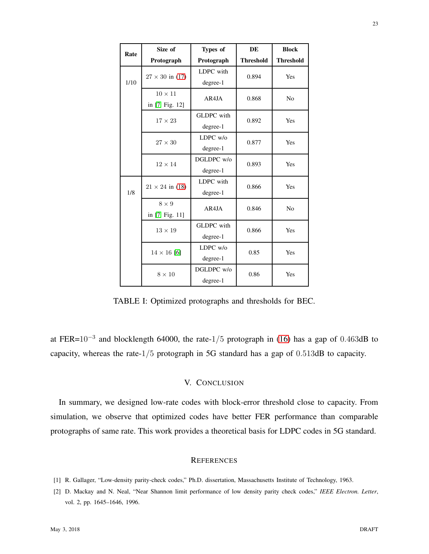<span id="page-22-2"></span>

| Rate | Size of                | Types of          | <b>DE</b>        | <b>Block</b>     |  |  |
|------|------------------------|-------------------|------------------|------------------|--|--|
|      | Protograph             | Protograph        | <b>Threshold</b> | <b>Threshold</b> |  |  |
|      | $27 \times 30$ in (17) | LDPC with         | 0.894            | Yes              |  |  |
| 1/10 |                        | degree-1          |                  |                  |  |  |
|      | $10\times11$           | AR4JA             | 0.868            | N <sub>o</sub>   |  |  |
|      | in [7, Fig. 12]        |                   |                  |                  |  |  |
|      | $17 \times 23$         | <b>GLDPC</b> with | 0.892            | Yes              |  |  |
|      |                        | degree-1          |                  |                  |  |  |
|      | $27 \times 30$         | LDPC w/o          | 0.877            | Yes              |  |  |
|      |                        | degree-1          |                  |                  |  |  |
|      | $12 \times 14$         | DGLDPC w/o        | 0.893            | Yes              |  |  |
|      |                        | degree-1          |                  |                  |  |  |
|      | $21 \times 24$ in (18) | LDPC with         | 0.866            | Yes              |  |  |
| 1/8  |                        | degree-1          |                  |                  |  |  |
|      | $8 \times 9$           | AR4JA             | 0.846            | N <sub>o</sub>   |  |  |
|      | in [7, Fig. 11]        |                   |                  |                  |  |  |
|      | $13 \times 19$         | <b>GLDPC</b> with | 0.866            | Yes              |  |  |
|      |                        | degree-1          |                  |                  |  |  |
|      | $14 \times 16$ [6]     | $LDPC$ w/o        | 0.85             | Yes              |  |  |
|      |                        | degree-1          |                  |                  |  |  |
|      | $8 \times 10$          | DGLDPC w/o        | 0.86             | Yes              |  |  |
|      |                        | degree-1          |                  |                  |  |  |

TABLE I: Optimized protographs and thresholds for BEC.

at FER= $10^{-3}$  and blocklength 64000, the rate- $1/5$  protograph in [\(16\)](#page-26-0) has a gap of 0.463dB to capacity, whereas the rate-1/5 protograph in 5G standard has a gap of 0.513dB to capacity.

# V. CONCLUSION

In summary, we designed low-rate codes with block-error threshold close to capacity. From simulation, we observe that optimized codes have better FER performance than comparable protographs of same rate. This work provides a theoretical basis for LDPC codes in 5G standard.

# **REFERENCES**

- <span id="page-22-1"></span><span id="page-22-0"></span>[1] R. Gallager, "Low-density parity-check codes," Ph.D. dissertation, Massachusetts Institute of Technology, 1963.
- [2] D. Mackay and N. Neal, "Near Shannon limit performance of low density parity check codes," *IEEE Electron. Letter*, vol. 2, pp. 1645–1646, 1996.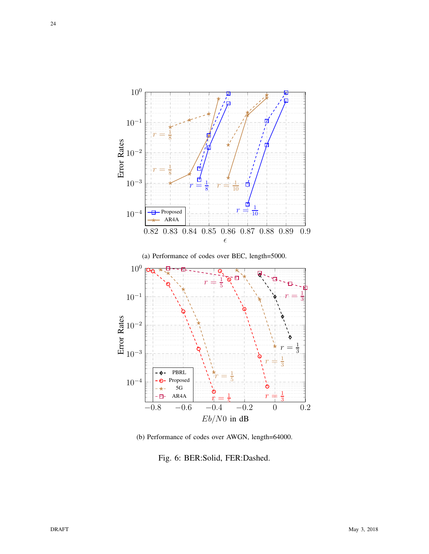<span id="page-23-0"></span>

(b) Performance of codes over AWGN, length=64000.

Fig. 6: BER:Solid, FER:Dashed.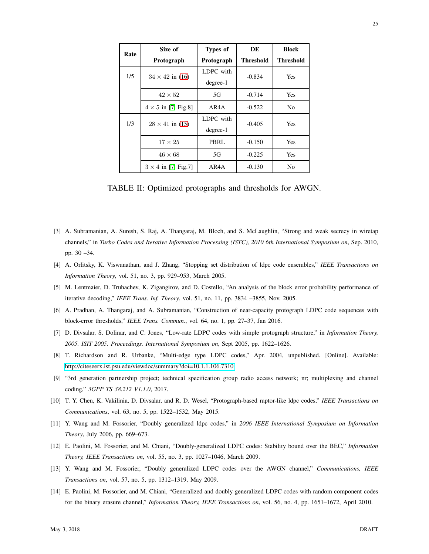| Rate | Size of                    | Types of   | DE        | <b>Block</b> |  |
|------|----------------------------|------------|-----------|--------------|--|
|      | Protograph                 | Protograph | Threshold | Threshold    |  |
| 1/5  | $34 \times 42$ in (16)     | LDPC with  | $-0.834$  | Yes          |  |
|      |                            | $degree-1$ |           |              |  |
|      | $42 \times 52$             | 5G         | $-0.714$  | Yes          |  |
|      | $4 \times 5$ in [7, Fig.8] | AR4A       | $-0.522$  | No           |  |
| 1/3  | $28 \times 41$ in (15)     | LDPC with  | $-0.405$  | Yes          |  |
|      |                            | $degree-1$ |           |              |  |
|      | $17 \times 25$             | PBRL       | $-0.150$  | Yes          |  |
|      | $46 \times 68$             | 5G         | $-0.225$  | Yes          |  |
|      | $3 \times 4$ in [7, Fig.7] | AR4A       | $-0.130$  | No           |  |

TABLE II: Optimized protographs and thresholds for AWGN.

- <span id="page-24-0"></span>[3] A. Subramanian, A. Suresh, S. Raj, A. Thangaraj, M. Bloch, and S. McLaughlin, "Strong and weak secrecy in wiretap channels," in *Turbo Codes and Iterative Information Processing (ISTC), 2010 6th International Symposium on*, Sep. 2010, pp. 30 –34.
- <span id="page-24-2"></span><span id="page-24-1"></span>[4] A. Orlitsky, K. Viswanathan, and J. Zhang, "Stopping set distribution of ldpc code ensembles," *IEEE Transactions on Information Theory*, vol. 51, no. 3, pp. 929–953, March 2005.
- <span id="page-24-3"></span>[5] M. Lentmaier, D. Truhachev, K. Zigangirov, and D. Costello, "An analysis of the block error probability performance of iterative decoding," *IEEE Trans. Inf. Theory*, vol. 51, no. 11, pp. 3834 –3855, Nov. 2005.
- <span id="page-24-4"></span>[6] A. Pradhan, A. Thangaraj, and A. Subramanian, "Construction of near-capacity protograph LDPC code sequences with block-error thresholds," *IEEE Trans. Commun.*, vol. 64, no. 1, pp. 27–37, Jan 2016.
- <span id="page-24-5"></span>[7] D. Divsalar, S. Dolinar, and C. Jones, "Low-rate LDPC codes with simple protograph structure," in *Information Theory, 2005. ISIT 2005. Proceedings. International Symposium on*, Sept 2005, pp. 1622–1626.
- <span id="page-24-6"></span>[8] T. Richardson and R. Urbanke, "Multi-edge type LDPC codes," Apr. 2004, unpublished. [Online]. Available: <http://citeseerx.ist.psu.edu/viewdoc/summary?doi=10.1.1.106.7310>
- <span id="page-24-7"></span>[9] "3rd generation partnership project; technical specification group radio access network; nr; multiplexing and channel coding," *3GPP TS 38.212 V1.1.0*, 2017.
- <span id="page-24-8"></span>[10] T. Y. Chen, K. Vakilinia, D. Divsalar, and R. D. Wesel, "Protograph-based raptor-like ldpc codes," *IEEE Transactions on Communications*, vol. 63, no. 5, pp. 1522–1532, May 2015.
- <span id="page-24-9"></span>[11] Y. Wang and M. Fossorier, "Doubly generalized ldpc codes," in *2006 IEEE International Symposium on Information Theory*, July 2006, pp. 669–673.
- [12] E. Paolini, M. Fossorier, and M. Chiani, "Doubly-generalized LDPC codes: Stability bound over the BEC," *Information Theory, IEEE Transactions on*, vol. 55, no. 3, pp. 1027–1046, March 2009.
- [13] Y. Wang and M. Fossorier, "Doubly generalized LDPC codes over the AWGN channel," *Communications, IEEE Transactions on*, vol. 57, no. 5, pp. 1312–1319, May 2009.
- [14] E. Paolini, M. Fossorier, and M. Chiani, "Generalized and doubly generalized LDPC codes with random component codes for the binary erasure channel," *Information Theory, IEEE Transactions on*, vol. 56, no. 4, pp. 1651–1672, April 2010.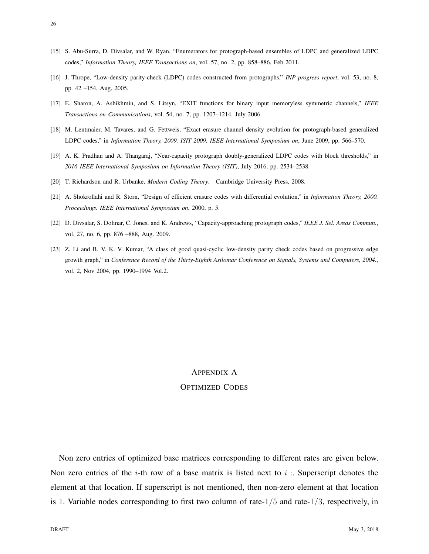<span id="page-25-0"></span>26

- <span id="page-25-1"></span>[15] S. Abu-Surra, D. Divsalar, and W. Ryan, "Enumerators for protograph-based ensembles of LDPC and generalized LDPC codes," *Information Theory, IEEE Transactions on*, vol. 57, no. 2, pp. 858–886, Feb 2011.
- <span id="page-25-2"></span>[16] J. Thrope, "Low-density parity-check (LDPC) codes constructed from protographs," *INP progress report*, vol. 53, no. 8, pp. 42 –154, Aug. 2005.
- <span id="page-25-3"></span>[17] E. Sharon, A. Ashikhmin, and S. Litsyn, "EXIT functions for binary input memoryless symmetric channels," *IEEE Transactions on Communications*, vol. 54, no. 7, pp. 1207–1214, July 2006.
- <span id="page-25-4"></span>[18] M. Lentmaier, M. Tavares, and G. Fettweis, "Exact erasure channel density evolution for protograph-based generalized LDPC codes," in *Information Theory, 2009. ISIT 2009. IEEE International Symposium on*, June 2009, pp. 566–570.
- <span id="page-25-5"></span>[19] A. K. Pradhan and A. Thangaraj, "Near-capacity protograph doubly-generalized LDPC codes with block thresholds," in *2016 IEEE International Symposium on Information Theory (ISIT)*, July 2016, pp. 2534–2538.
- <span id="page-25-6"></span>[20] T. Richardson and R. Urbanke, *Modern Coding Theory*. Cambridge University Press, 2008.
- <span id="page-25-7"></span>[21] A. Shokrollahi and R. Storn, "Design of efficient erasure codes with differential evolution," in *Information Theory, 2000. Proceedings. IEEE International Symposium on*, 2000, p. 5.
- <span id="page-25-8"></span>[22] D. Divsalar, S. Dolinar, C. Jones, and K. Andrews, "Capacity-approaching protograph codes," *IEEE J. Sel. Areas Commun.*, vol. 27, no. 6, pp. 876 –888, Aug. 2009.
- [23] Z. Li and B. V. K. V. Kumar, "A class of good quasi-cyclic low-density parity check codes based on progressive edge growth graph," in *Conference Record of the Thirty-Eighth Asilomar Conference on Signals, Systems and Computers, 2004.*, vol. 2, Nov 2004, pp. 1990–1994 Vol.2.

# APPENDIX A

## OPTIMIZED CODES

Non zero entries of optimized base matrices corresponding to different rates are given below. Non zero entries of the *i*-th row of a base matrix is listed next to *i* :. Superscript denotes the element at that location. If superscript is not mentioned, then non-zero element at that location is 1. Variable nodes corresponding to first two column of rate- $1/5$  and rate- $1/3$ , respectively, in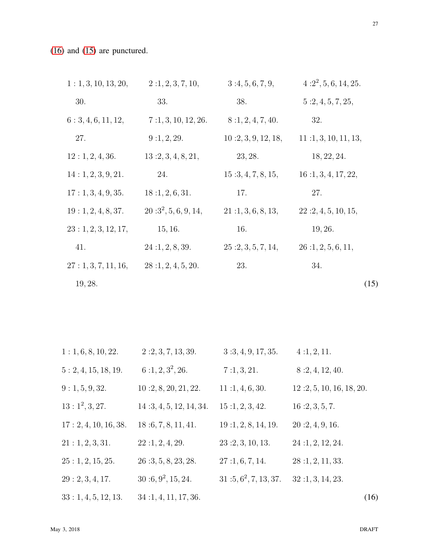[\(16\)](#page-26-0) and [\(15\)](#page-26-1) are punctured.

| 1: 1, 3, 10, 13, 20, | 2:1, 2, 3, 7, 10,      | 3:4,5,6,7,9,        | $4:2^2, 5, 6, 14, 25.$ |
|----------------------|------------------------|---------------------|------------------------|
| 30.                  | 33.                    | 38.                 | 5:2,4,5,7,25,          |
| 6: 3, 4, 6, 11, 12,  | 7:1, 3, 10, 12, 26.    | 8:1, 2, 4, 7, 40.   | 32.                    |
| 27.                  | 9:1, 2, 29.            | 10:2, 3, 9, 12, 18, | 11:1, 3, 10, 11, 13,   |
| 12:1, 2, 4, 36.      | 13:2, 3, 4, 8, 21,     | 23, 28.             | 18, 22, 24.            |
| 14:1, 2, 3, 9, 21.   | 24.                    | 15:3,4,7,8,15,      | 16:1, 3, 4, 17, 22,    |
| 17:1,3,4,9,35.       | 18:1, 2, 6, 31.        | 17.                 | 27.                    |
| 19:1, 2, 4, 8, 37.   | $20:3^2, 5, 6, 9, 14,$ | 21:1, 3, 6, 8, 13,  | 22:2,4,5,10,15,        |
| 23:1, 2, 3, 12, 17,  | 15, 16.                | 16.                 | 19, 26.                |
| 41.                  | 24:1, 2, 8, 39.        | 25:2,3,5,7,14,      | 26:1, 2, 5, 6, 11,     |
| 27: 1, 3, 7, 11, 16, | 28:1, 2, 4, 5, 20.     | 23.                 | 34.                    |
| 19, 28.              |                        |                     | (15)                   |

<span id="page-26-1"></span><span id="page-26-0"></span>

| 1: 1, 6, 8, 10, 22.   | 2:2,3,7,13,39.          | 3:3,4,9,17,35.      | 4:1, 2, 11.              |      |
|-----------------------|-------------------------|---------------------|--------------------------|------|
| 5: 2, 4, 15, 18, 19.  | $6:1, 2, 3^2, 26.$      | 7:1,3,21.           | 8:2,4,12,40.             |      |
| 9: 1, 5, 9, 32.       | 10:2, 8, 20, 21, 22.    | 11:1,4,6,30.        | 12:2, 5, 10, 16, 18, 20. |      |
| $13: 1^2, 3, 27.$     | 14:3, 4, 5, 12, 14, 34. | 15:1, 2, 3, 42.     | 16:2, 3, 5, 7.           |      |
| 17: 2, 4, 10, 16, 38. | 18:6, 7, 8, 11, 41.     | 19:1, 2, 8, 14, 19. | 20:2, 4, 9, 16.          |      |
| 21:1, 2, 3, 31.       | 22:1, 2, 4, 29.         | 23:2,3,10,13.       | 24:1, 2, 12, 24.         |      |
| 25:1, 2, 15, 25.      | 26:3, 5, 8, 23, 28.     | 27:1, 6, 7, 14.     | 28:1, 2, 11, 33.         |      |
| 29: 2, 3, 4, 17.      | $30:6,9^2,15,24.$       | $31:5,6^2,7,13,37.$ | 32:1, 3, 14, 23.         |      |
| 33:1,4,5,12,13.       | 34:1, 4, 11, 17, 36.    |                     |                          | (16) |